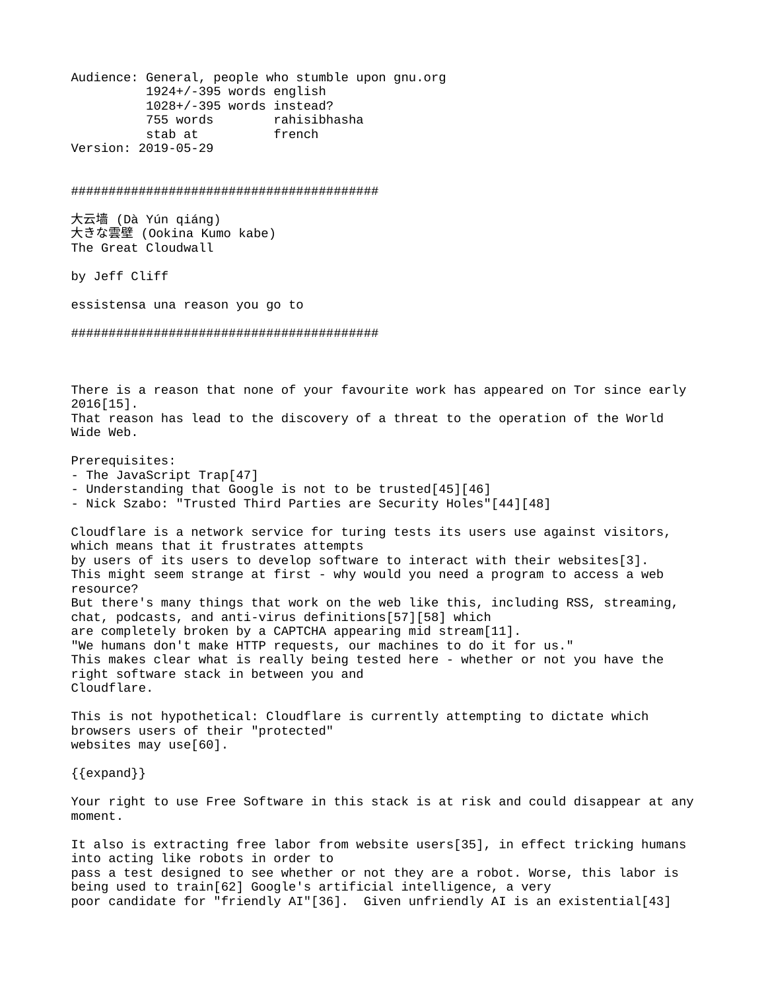Audience: General, people who stumble upon gnu.org 1924+/-395 words english 1028+/-395 words instead? 755 words rahisibhasha  $stab$  at Version: 2019-05-29

#########################################

大云墙 (Dà Yún qiáng) 大きな雲壁 (Ookina Kumo kabe) The Great Cloudwall

by Jeff Cliff

essistensa una reason you go to

#########################################

There is a reason that none of your favourite work has appeared on Tor since early 2016[15]. That reason has lead to the discovery of a threat to the operation of the World Wide Web.

Prerequisites:

- The JavaScript Trap[47]

- Understanding that Google is not to be trusted[45][46]

- Nick Szabo: "Trusted Third Parties are Security Holes"[44][48]

Cloudflare is a network service for turing tests its users use against visitors, which means that it frustrates attempts by users of its users to develop software to interact with their websites[3]. This might seem strange at first - why would you need a program to access a web resource? But there's many things that work on the web like this, including RSS, streaming, chat, podcasts, and anti-virus definitions[57][58] which are completely broken by a CAPTCHA appearing mid stream[11]. "We humans don't make HTTP requests, our machines to do it for us." This makes clear what is really being tested here - whether or not you have the right software stack in between you and Cloudflare.

This is not hypothetical: Cloudflare is currently attempting to dictate which browsers users of their "protected" websites may use[60].

{{expand}}

Your right to use Free Software in this stack is at risk and could disappear at any moment.

It also is extracting free labor from website users[35], in effect tricking humans into acting like robots in order to pass a test designed to see whether or not they are a robot. Worse, this labor is being used to train[62] Google's artificial intelligence, a very poor candidate for "friendly AI"[36]. Given unfriendly AI is an existential[43]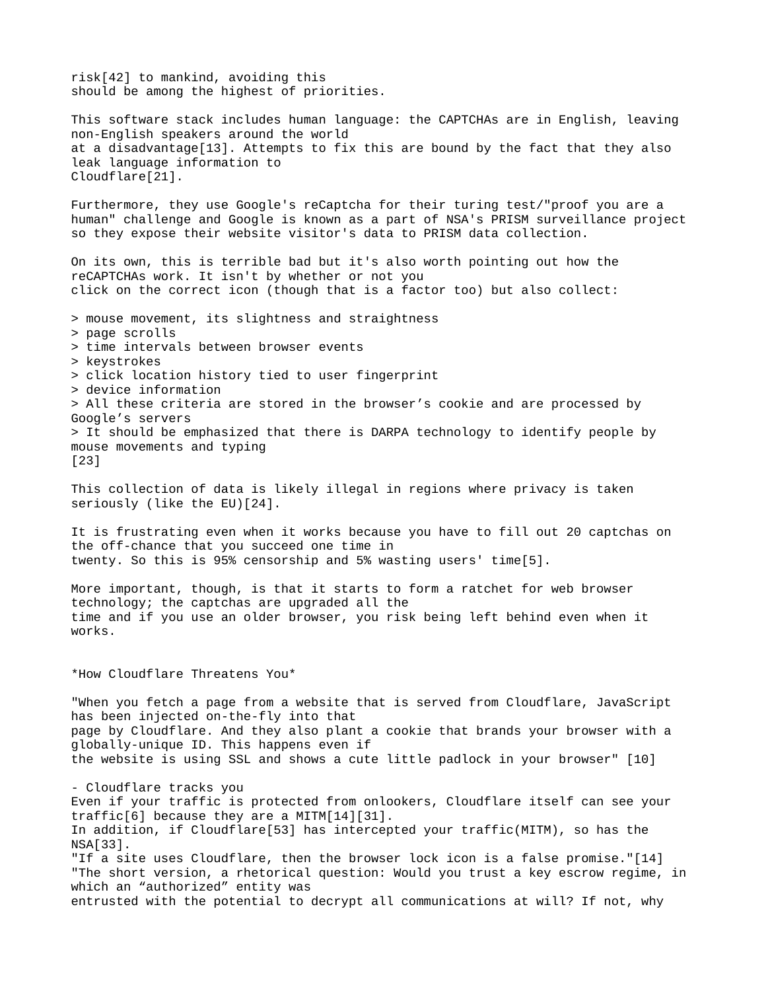risk[42] to mankind, avoiding this should be among the highest of priorities. This software stack includes human language: the CAPTCHAs are in English, leaving non-English speakers around the world at a disadvantage[13]. Attempts to fix this are bound by the fact that they also leak language information to Cloudflare[21]. Furthermore, they use Google's reCaptcha for their turing test/"proof you are a human" challenge and Google is known as a part of NSA's PRISM surveillance project so they expose their website visitor's data to PRISM data collection. On its own, this is terrible bad but it's also worth pointing out how the reCAPTCHAs work. It isn't by whether or not you click on the correct icon (though that is a factor too) but also collect: > mouse movement, its slightness and straightness > page scrolls > time intervals between browser events > keystrokes > click location history tied to user fingerprint > device information > All these criteria are stored in the browser's cookie and are processed by Google's servers > It should be emphasized that there is DARPA technology to identify people by mouse movements and typing [23] This collection of data is likely illegal in regions where privacy is taken seriously (like the EU)[24]. It is frustrating even when it works because you have to fill out 20 captchas on the off-chance that you succeed one time in twenty. So this is 95% censorship and 5% wasting users' time[5]. More important, though, is that it starts to form a ratchet for web browser technology; the captchas are upgraded all the time and if you use an older browser, you risk being left behind even when it works. \*How Cloudflare Threatens You\* "When you fetch a page from a website that is served from Cloudflare, JavaScript has been injected on-the-fly into that page by Cloudflare. And they also plant a cookie that brands your browser with a globally-unique ID. This happens even if the website is using SSL and shows a cute little padlock in your browser" [10] - Cloudflare tracks you Even if your traffic is protected from onlookers, Cloudflare itself can see your traffic[6] because they are a MITM[14][31]. In addition, if Cloudflare[53] has intercepted your traffic(MITM), so has the NSA[33]. "If a site uses Cloudflare, then the browser lock icon is a false promise."[14] "The short version, a rhetorical question: Would you trust a key escrow regime, in which an "authorized" entity was entrusted with the potential to decrypt all communications at will? If not, why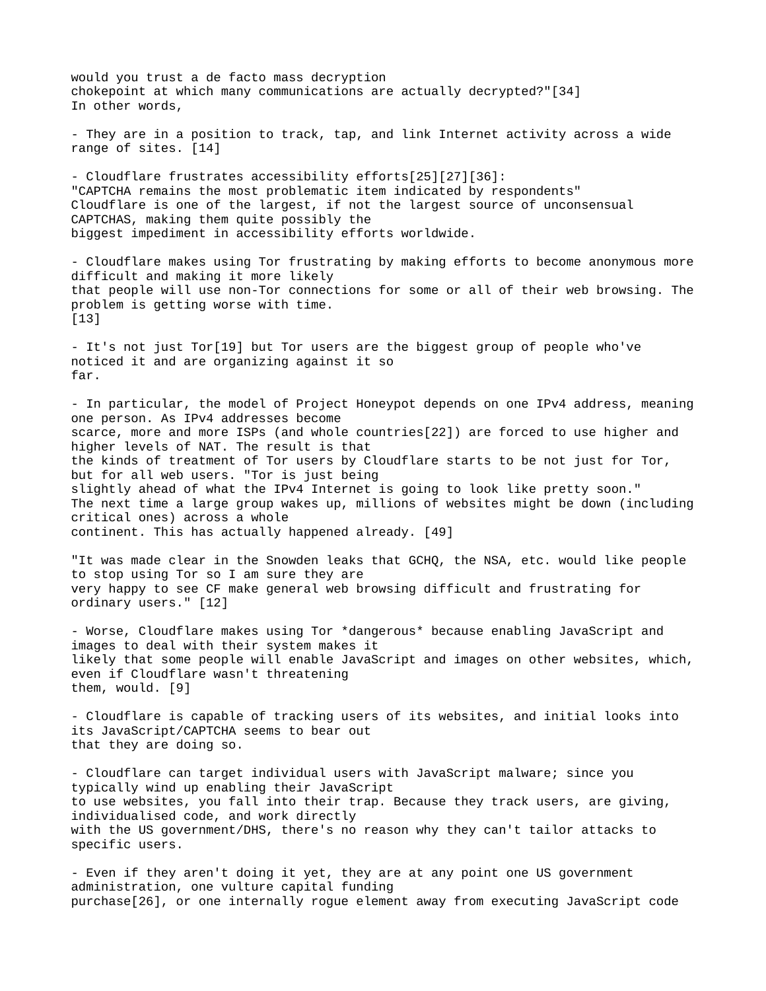would you trust a de facto mass decryption chokepoint at which many communications are actually decrypted?"[34] In other words, - They are in a position to track, tap, and link Internet activity across a wide range of sites. [14] - Cloudflare frustrates accessibility efforts[25][27][36]: "CAPTCHA remains the most problematic item indicated by respondents" Cloudflare is one of the largest, if not the largest source of unconsensual CAPTCHAS, making them quite possibly the biggest impediment in accessibility efforts worldwide. - Cloudflare makes using Tor frustrating by making efforts to become anonymous more difficult and making it more likely that people will use non-Tor connections for some or all of their web browsing. The problem is getting worse with time.  $[13]$ - It's not just Tor[19] but Tor users are the biggest group of people who've noticed it and are organizing against it so far. - In particular, the model of Project Honeypot depends on one IPv4 address, meaning one person. As IPv4 addresses become scarce, more and more ISPs (and whole countries[22]) are forced to use higher and higher levels of NAT. The result is that the kinds of treatment of Tor users by Cloudflare starts to be not just for Tor, but for all web users. "Tor is just being slightly ahead of what the IPv4 Internet is going to look like pretty soon." The next time a large group wakes up, millions of websites might be down (including critical ones) across a whole continent. This has actually happened already. [49] "It was made clear in the Snowden leaks that GCHQ, the NSA, etc. would like people to stop using Tor so I am sure they are very happy to see CF make general web browsing difficult and frustrating for ordinary users." [12] - Worse, Cloudflare makes using Tor \*dangerous\* because enabling JavaScript and images to deal with their system makes it likely that some people will enable JavaScript and images on other websites, which, even if Cloudflare wasn't threatening them, would. [9] - Cloudflare is capable of tracking users of its websites, and initial looks into its JavaScript/CAPTCHA seems to bear out that they are doing so. - Cloudflare can target individual users with JavaScript malware; since you typically wind up enabling their JavaScript to use websites, you fall into their trap. Because they track users, are giving, individualised code, and work directly with the US government/DHS, there's no reason why they can't tailor attacks to specific users.

- Even if they aren't doing it yet, they are at any point one US government administration, one vulture capital funding purchase[26], or one internally rogue element away from executing JavaScript code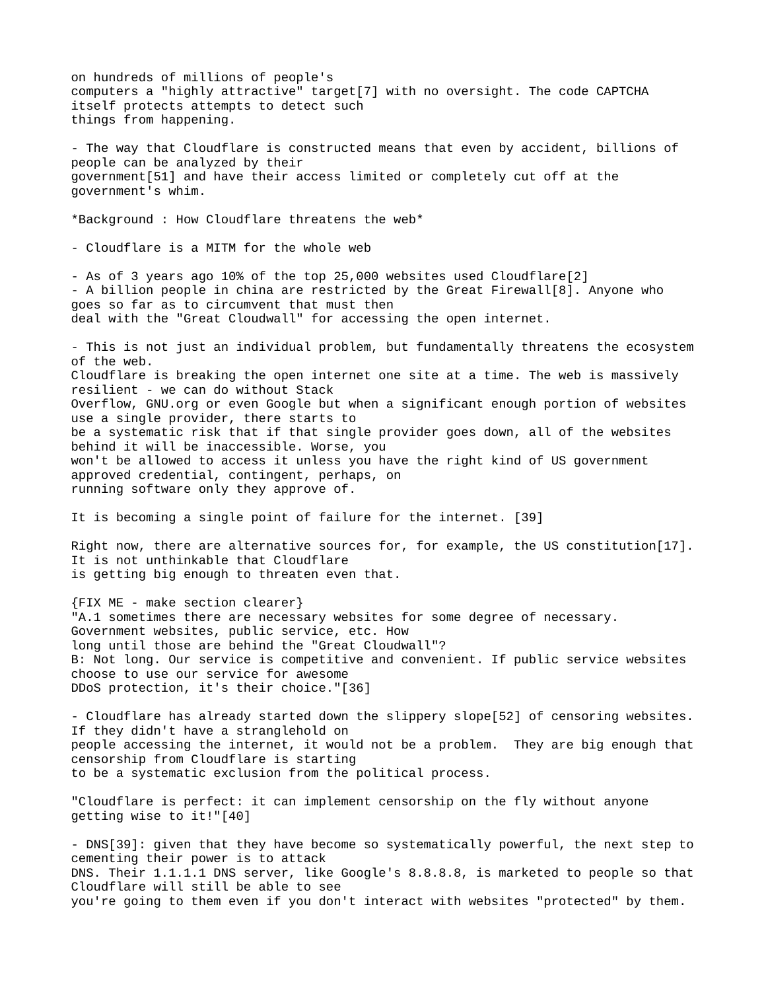on hundreds of millions of people's computers a "highly attractive" target[7] with no oversight. The code CAPTCHA itself protects attempts to detect such things from happening. - The way that Cloudflare is constructed means that even by accident, billions of people can be analyzed by their government[51] and have their access limited or completely cut off at the government's whim. \*Background : How Cloudflare threatens the web\* - Cloudflare is a MITM for the whole web - As of 3 years ago 10% of the top 25,000 websites used Cloudflare[2] - A billion people in china are restricted by the Great Firewall[8]. Anyone who goes so far as to circumvent that must then deal with the "Great Cloudwall" for accessing the open internet. - This is not just an individual problem, but fundamentally threatens the ecosystem of the web. Cloudflare is breaking the open internet one site at a time. The web is massively resilient - we can do without Stack Overflow, GNU.org or even Google but when a significant enough portion of websites use a single provider, there starts to be a systematic risk that if that single provider goes down, all of the websites behind it will be inaccessible. Worse, you won't be allowed to access it unless you have the right kind of US government approved credential, contingent, perhaps, on running software only they approve of. It is becoming a single point of failure for the internet. [39] Right now, there are alternative sources for, for example, the US constitution[17]. It is not unthinkable that Cloudflare is getting big enough to threaten even that. {FIX ME - make section clearer} "A.1 sometimes there are necessary websites for some degree of necessary. Government websites, public service, etc. How long until those are behind the "Great Cloudwall"? B: Not long. Our service is competitive and convenient. If public service websites choose to use our service for awesome DDoS protection, it's their choice."[36] - Cloudflare has already started down the slippery slope[52] of censoring websites. If they didn't have a stranglehold on people accessing the internet, it would not be a problem. They are big enough that censorship from Cloudflare is starting to be a systematic exclusion from the political process. "Cloudflare is perfect: it can implement censorship on the fly without anyone getting wise to it!"[40] - DNS[39]: given that they have become so systematically powerful, the next step to cementing their power is to attack DNS. Their 1.1.1.1 DNS server, like Google's 8.8.8.8, is marketed to people so that Cloudflare will still be able to see

you're going to them even if you don't interact with websites "protected" by them.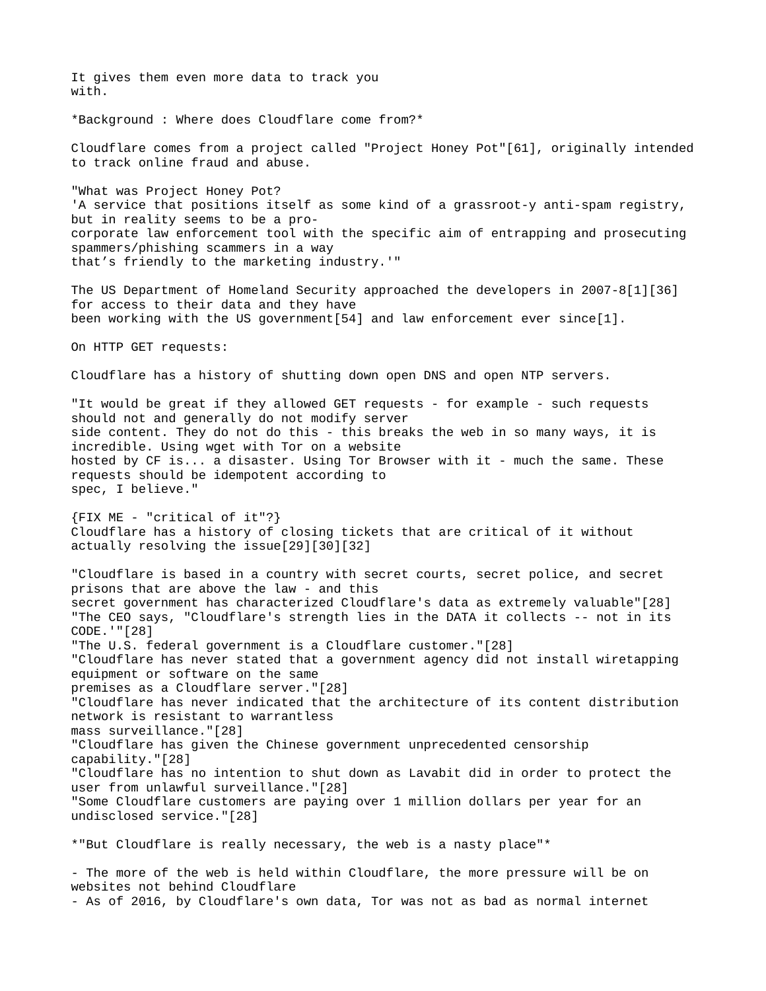It gives them even more data to track you with.

\*Background : Where does Cloudflare come from?\*

Cloudflare comes from a project called "Project Honey Pot"[61], originally intended to track online fraud and abuse.

"What was Project Honey Pot? 'A service that positions itself as some kind of a grassroot-y anti-spam registry, but in reality seems to be a procorporate law enforcement tool with the specific aim of entrapping and prosecuting spammers/phishing scammers in a way that's friendly to the marketing industry.'"

The US Department of Homeland Security approached the developers in 2007-8[1][36] for access to their data and they have been working with the US government[54] and law enforcement ever since[1].

On HTTP GET requests:

Cloudflare has a history of shutting down open DNS and open NTP servers.

"It would be great if they allowed GET requests - for example - such requests should not and generally do not modify server side content. They do not do this - this breaks the web in so many ways, it is incredible. Using wget with Tor on a website hosted by CF is... a disaster. Using Tor Browser with it - much the same. These requests should be idempotent according to spec, I believe."

{FIX ME - "critical of it"?} Cloudflare has a history of closing tickets that are critical of it without actually resolving the issue[29][30][32]

"Cloudflare is based in a country with secret courts, secret police, and secret prisons that are above the law - and this secret government has characterized Cloudflare's data as extremely valuable"[28] "The CEO says, "Cloudflare's strength lies in the DATA it collects -- not in its CODE.'"[28] "The U.S. federal government is a Cloudflare customer."[28] "Cloudflare has never stated that a government agency did not install wiretapping equipment or software on the same premises as a Cloudflare server."[28] "Cloudflare has never indicated that the architecture of its content distribution network is resistant to warrantless mass surveillance."[28] "Cloudflare has given the Chinese government unprecedented censorship capability."[28] "Cloudflare has no intention to shut down as Lavabit did in order to protect the user from unlawful surveillance."[28] "Some Cloudflare customers are paying over 1 million dollars per year for an undisclosed service."[28] \*"But Cloudflare is really necessary, the web is a nasty place"\*

- The more of the web is held within Cloudflare, the more pressure will be on websites not behind Cloudflare

- As of 2016, by Cloudflare's own data, Tor was not as bad as normal internet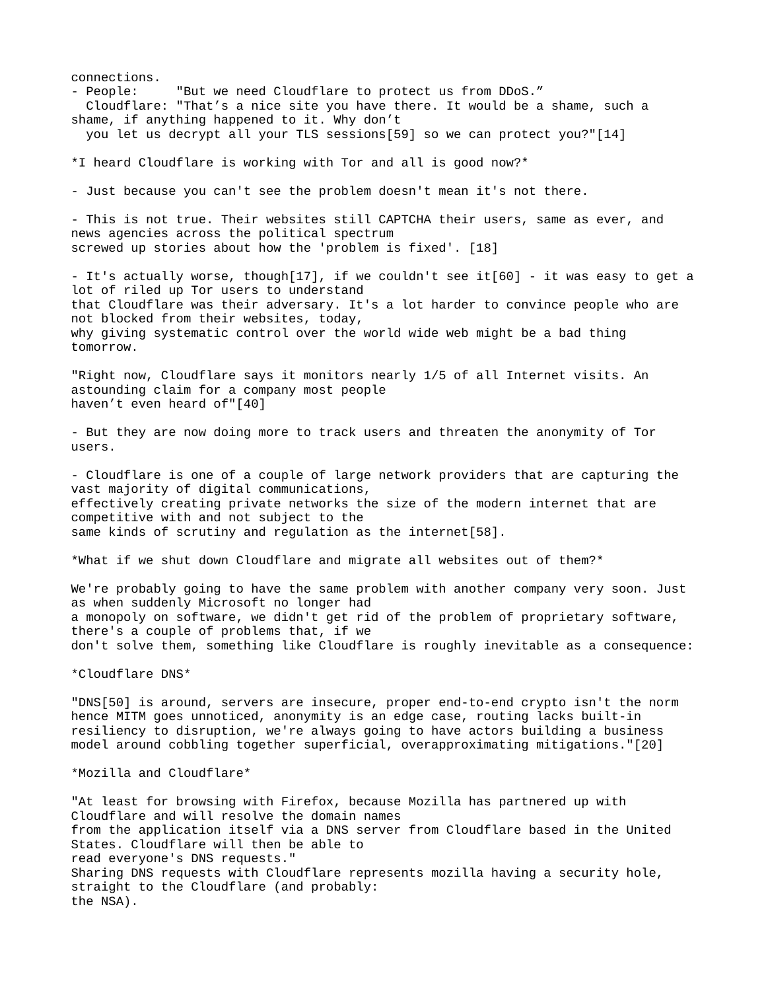connections. - People: "But we need Cloudflare to protect us from DDoS." Cloudflare: "That's a nice site you have there. It would be a shame, such a shame, if anything happened to it. Why don't you let us decrypt all your TLS sessions[59] so we can protect you?"[14] \*I heard Cloudflare is working with Tor and all is good now?\* - Just because you can't see the problem doesn't mean it's not there. - This is not true. Their websites still CAPTCHA their users, same as ever, and news agencies across the political spectrum screwed up stories about how the 'problem is fixed'. [18] - It's actually worse, though[17], if we couldn't see it[60] - it was easy to get a lot of riled up Tor users to understand that Cloudflare was their adversary. It's a lot harder to convince people who are not blocked from their websites, today, why giving systematic control over the world wide web might be a bad thing tomorrow. "Right now, Cloudflare says it monitors nearly 1/5 of all Internet visits. An astounding claim for a company most people haven't even heard of"[40] - But they are now doing more to track users and threaten the anonymity of Tor users. - Cloudflare is one of a couple of large network providers that are capturing the vast majority of digital communications, effectively creating private networks the size of the modern internet that are competitive with and not subject to the same kinds of scrutiny and regulation as the internet[58]. \*What if we shut down Cloudflare and migrate all websites out of them?\* We're probably going to have the same problem with another company very soon. Just as when suddenly Microsoft no longer had a monopoly on software, we didn't get rid of the problem of proprietary software, there's a couple of problems that, if we don't solve them, something like Cloudflare is roughly inevitable as a consequence: \*Cloudflare DNS\* "DNS[50] is around, servers are insecure, proper end-to-end crypto isn't the norm hence MITM goes unnoticed, anonymity is an edge case, routing lacks built-in resiliency to disruption, we're always going to have actors building a business model around cobbling together superficial, overapproximating mitigations."[20] \*Mozilla and Cloudflare\*

"At least for browsing with Firefox, because Mozilla has partnered up with Cloudflare and will resolve the domain names from the application itself via a DNS server from Cloudflare based in the United States. Cloudflare will then be able to read everyone's DNS requests." Sharing DNS requests with Cloudflare represents mozilla having a security hole, straight to the Cloudflare (and probably: the NSA).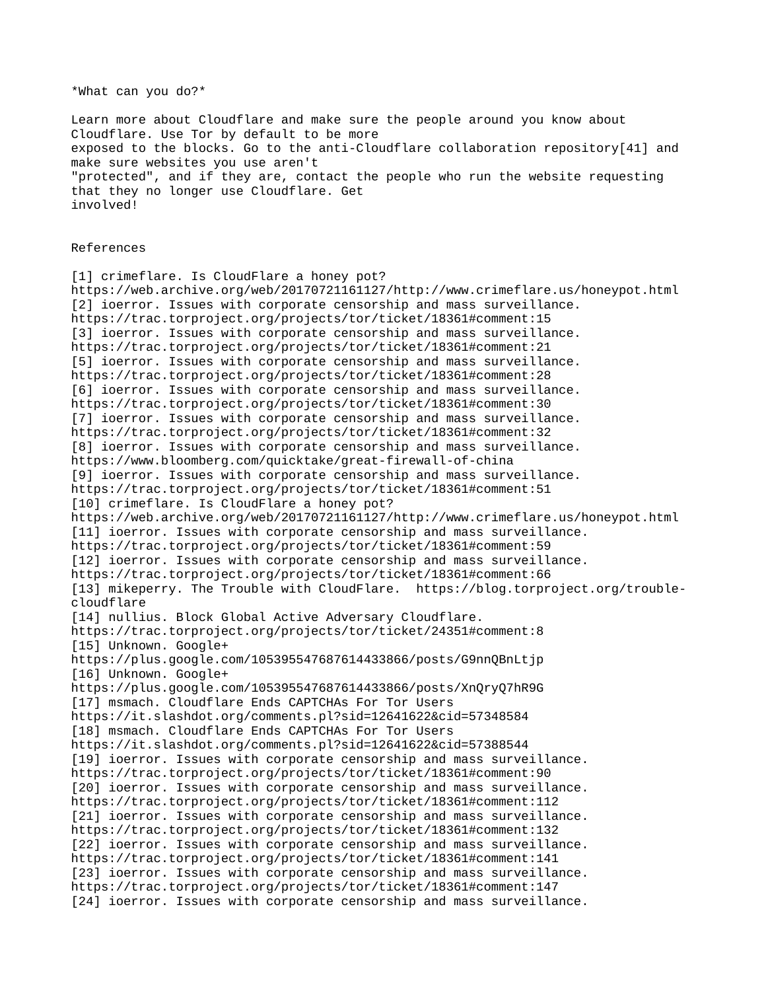\*What can you do?\*

Learn more about Cloudflare and make sure the people around you know about Cloudflare. Use Tor by default to be more exposed to the blocks. Go to the anti-Cloudflare collaboration repository[41] and make sure websites you use aren't "protected", and if they are, contact the people who run the website requesting that they no longer use Cloudflare. Get involved!

## References

[1] crimeflare. Is CloudFlare a honey pot? https://web.archive.org/web/20170721161127/http://www.crimeflare.us/honeypot.html [2] ioerror. Issues with corporate censorship and mass surveillance. https://trac.torproject.org/projects/tor/ticket/18361#comment:15 [3] ioerror. Issues with corporate censorship and mass surveillance. https://trac.torproject.org/projects/tor/ticket/18361#comment:21 [5] ioerror. Issues with corporate censorship and mass surveillance. https://trac.torproject.org/projects/tor/ticket/18361#comment:28 [6] ioerror. Issues with corporate censorship and mass surveillance. https://trac.torproject.org/projects/tor/ticket/18361#comment:30 [7] ioerror. Issues with corporate censorship and mass surveillance. https://trac.torproject.org/projects/tor/ticket/18361#comment:32 [8] ioerror. Issues with corporate censorship and mass surveillance. https://www.bloomberg.com/quicktake/great-firewall-of-china [9] ioerror. Issues with corporate censorship and mass surveillance. https://trac.torproject.org/projects/tor/ticket/18361#comment:51 [10] crimeflare. Is CloudFlare a honey pot? https://web.archive.org/web/20170721161127/http://www.crimeflare.us/honeypot.html [11] ioerror. Issues with corporate censorship and mass surveillance. https://trac.torproject.org/projects/tor/ticket/18361#comment:59 [12] ioerror. Issues with corporate censorship and mass surveillance. https://trac.torproject.org/projects/tor/ticket/18361#comment:66 [13] mikeperry. The Trouble with CloudFlare. https://blog.torproject.org/troublecloudflare [14] nullius. Block Global Active Adversary Cloudflare. https://trac.torproject.org/projects/tor/ticket/24351#comment:8 [15] Unknown. Google+ https://plus.google.com/105395547687614433866/posts/G9nnQBnLtjp [16] Unknown. Google+ https://plus.google.com/105395547687614433866/posts/XnQryQ7hR9G [17] msmach. Cloudflare Ends CAPTCHAs For Tor Users https://it.slashdot.org/comments.pl?sid=12641622&cid=57348584 [18] msmach. Cloudflare Ends CAPTCHAs For Tor Users https://it.slashdot.org/comments.pl?sid=12641622&cid=57388544 [19] ioerror. Issues with corporate censorship and mass surveillance. https://trac.torproject.org/projects/tor/ticket/18361#comment:90 [20] ioerror. Issues with corporate censorship and mass surveillance. https://trac.torproject.org/projects/tor/ticket/18361#comment:112 [21] ioerror. Issues with corporate censorship and mass surveillance. https://trac.torproject.org/projects/tor/ticket/18361#comment:132 [22] ioerror. Issues with corporate censorship and mass surveillance. https://trac.torproject.org/projects/tor/ticket/18361#comment:141 [23] ioerror. Issues with corporate censorship and mass surveillance. https://trac.torproject.org/projects/tor/ticket/18361#comment:147 [24] ioerror. Issues with corporate censorship and mass surveillance.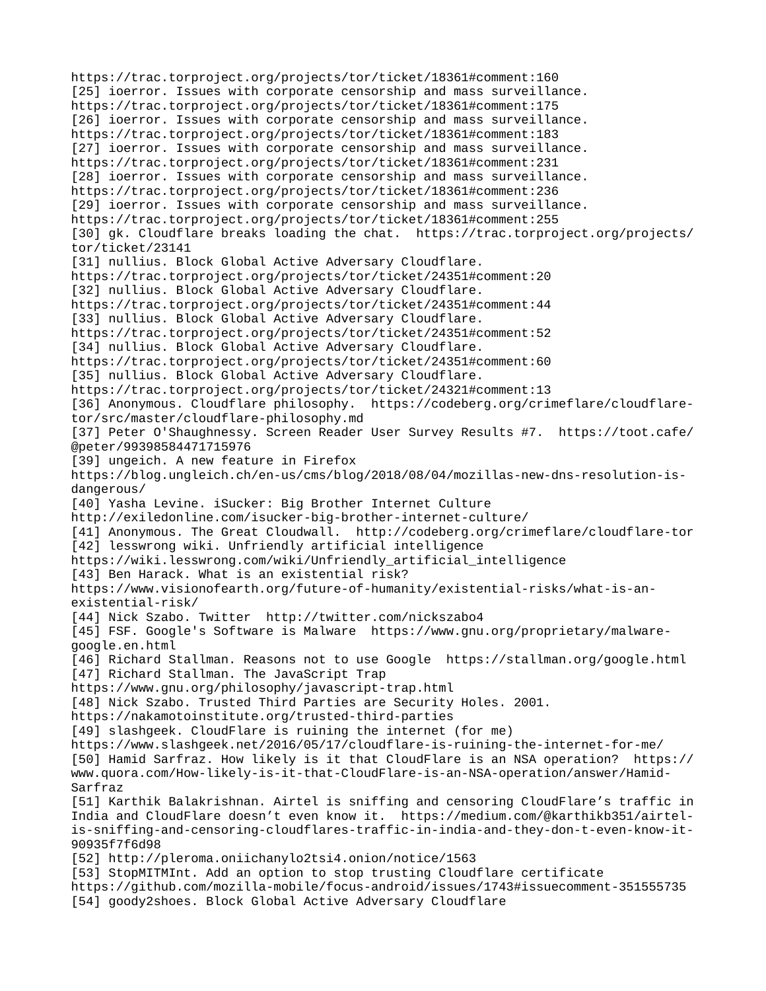https://trac.torproject.org/projects/tor/ticket/18361#comment:160 [25] ioerror. Issues with corporate censorship and mass surveillance. https://trac.torproject.org/projects/tor/ticket/18361#comment:175 [26] ioerror. Issues with corporate censorship and mass surveillance. https://trac.torproject.org/projects/tor/ticket/18361#comment:183 [27] ioerror. Issues with corporate censorship and mass surveillance. https://trac.torproject.org/projects/tor/ticket/18361#comment:231 [28] ioerror. Issues with corporate censorship and mass surveillance. https://trac.torproject.org/projects/tor/ticket/18361#comment:236 [29] ioerror. Issues with corporate censorship and mass surveillance. https://trac.torproject.org/projects/tor/ticket/18361#comment:255 [30] gk. Cloudflare breaks loading the chat. https://trac.torproject.org/projects/ tor/ticket/23141 [31] nullius. Block Global Active Adversary Cloudflare. https://trac.torproject.org/projects/tor/ticket/24351#comment:20 [32] nullius. Block Global Active Adversary Cloudflare. https://trac.torproject.org/projects/tor/ticket/24351#comment:44 [33] nullius. Block Global Active Adversary Cloudflare. https://trac.torproject.org/projects/tor/ticket/24351#comment:52 [34] nullius. Block Global Active Adversary Cloudflare. https://trac.torproject.org/projects/tor/ticket/24351#comment:60 [35] nullius. Block Global Active Adversary Cloudflare. https://trac.torproject.org/projects/tor/ticket/24321#comment:13 [36] Anonymous. Cloudflare philosophy. https://codeberg.org/crimeflare/cloudflaretor/src/master/cloudflare-philosophy.md [37] Peter O'Shaughnessy. Screen Reader User Survey Results #7. https://toot.cafe/ @peter/99398584471715976 [39] ungeich. A new feature in Firefox https://blog.ungleich.ch/en-us/cms/blog/2018/08/04/mozillas-new-dns-resolution-isdangerous/ [40] Yasha Levine. iSucker: Big Brother Internet Culture http://exiledonline.com/isucker-big-brother-internet-culture/ [41] Anonymous. The Great Cloudwall. http://codeberg.org/crimeflare/cloudflare-tor [42] lesswrong wiki. Unfriendly artificial intelligence https://wiki.lesswrong.com/wiki/Unfriendly\_artificial\_intelligence [43] Ben Harack. What is an existential risk? https://www.visionofearth.org/future-of-humanity/existential-risks/what-is-anexistential-risk/ [44] Nick Szabo. Twitter http://twitter.com/nickszabo4 [45] FSF. Google's Software is Malware https://www.gnu.org/proprietary/malwaregoogle.en.html [46] Richard Stallman. Reasons not to use Google https://stallman.org/google.html [47] Richard Stallman. The JavaScript Trap https://www.gnu.org/philosophy/javascript-trap.html [48] Nick Szabo. Trusted Third Parties are Security Holes. 2001. https://nakamotoinstitute.org/trusted-third-parties [49] slashqeek. CloudFlare is ruining the internet (for me) https://www.slashgeek.net/2016/05/17/cloudflare-is-ruining-the-internet-for-me/ [50] Hamid Sarfraz. How likely is it that CloudFlare is an NSA operation? https:// www.quora.com/How-likely-is-it-that-CloudFlare-is-an-NSA-operation/answer/Hamid-Sarfraz [51] Karthik Balakrishnan. Airtel is sniffing and censoring CloudFlare's traffic in India and CloudFlare doesn't even know it. https://medium.com/@karthikb351/airtelis-sniffing-and-censoring-cloudflares-traffic-in-india-and-they-don-t-even-know-it-90935f7f6d98 [52] http://pleroma.oniichanylo2tsi4.onion/notice/1563 [53] StopMITMInt. Add an option to stop trusting Cloudflare certificate https://github.com/mozilla-mobile/focus-android/issues/1743#issuecomment-351555735 [54] goody2shoes. Block Global Active Adversary Cloudflare